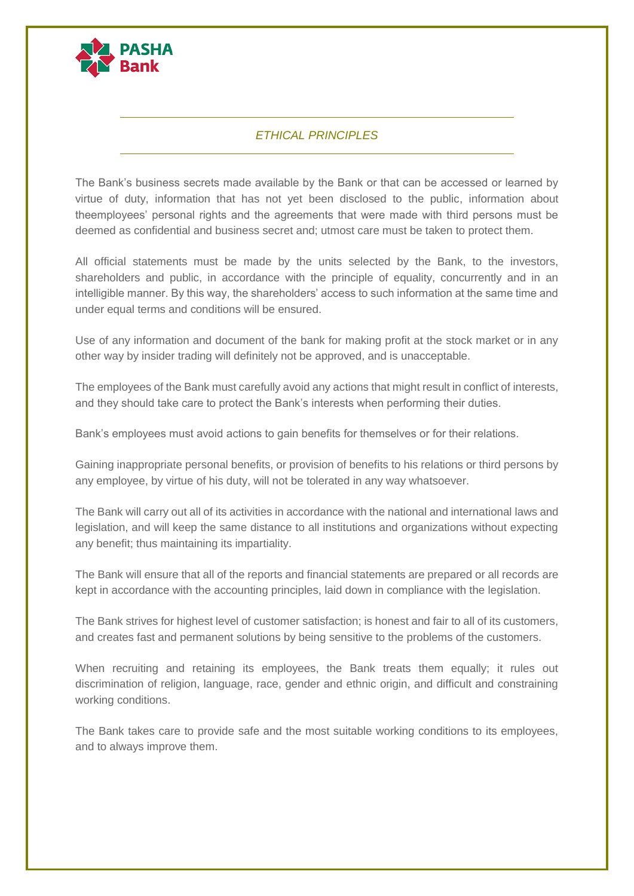

## *ETHICAL PRINCIPLES*

The Bank's business secrets made available by the Bank or that can be accessed or learned by virtue of duty, information that has not yet been disclosed to the public, information about theemployees' personal rights and the agreements that were made with third persons must be deemed as confidential and business secret and; utmost care must be taken to protect them.

All official statements must be made by the units selected by the Bank, to the investors, shareholders and public, in accordance with the principle of equality, concurrently and in an intelligible manner. By this way, the shareholders' access to such information at the same time and under equal terms and conditions will be ensured.

Use of any information and document of the bank for making profit at the stock market or in any other way by insider trading will definitely not be approved, and is unacceptable.

The employees of the Bank must carefully avoid any actions that might result in conflict of interests, and they should take care to protect the Bank's interests when performing their duties.

Bank's employees must avoid actions to gain benefits for themselves or for their relations.

Gaining inappropriate personal benefits, or provision of benefits to his relations or third persons by any employee, by virtue of his duty, will not be tolerated in any way whatsoever.

The Bank will carry out all of its activities in accordance with the national and international laws and legislation, and will keep the same distance to all institutions and organizations without expecting any benefit; thus maintaining its impartiality.

The Bank will ensure that all of the reports and financial statements are prepared or all records are kept in accordance with the accounting principles, laid down in compliance with the legislation.

The Bank strives for highest level of customer satisfaction; is honest and fair to all of its customers, and creates fast and permanent solutions by being sensitive to the problems of the customers.

When recruiting and retaining its employees, the Bank treats them equally; it rules out discrimination of religion, language, race, gender and ethnic origin, and difficult and constraining working conditions.

The Bank takes care to provide safe and the most suitable working conditions to its employees, and to always improve them.